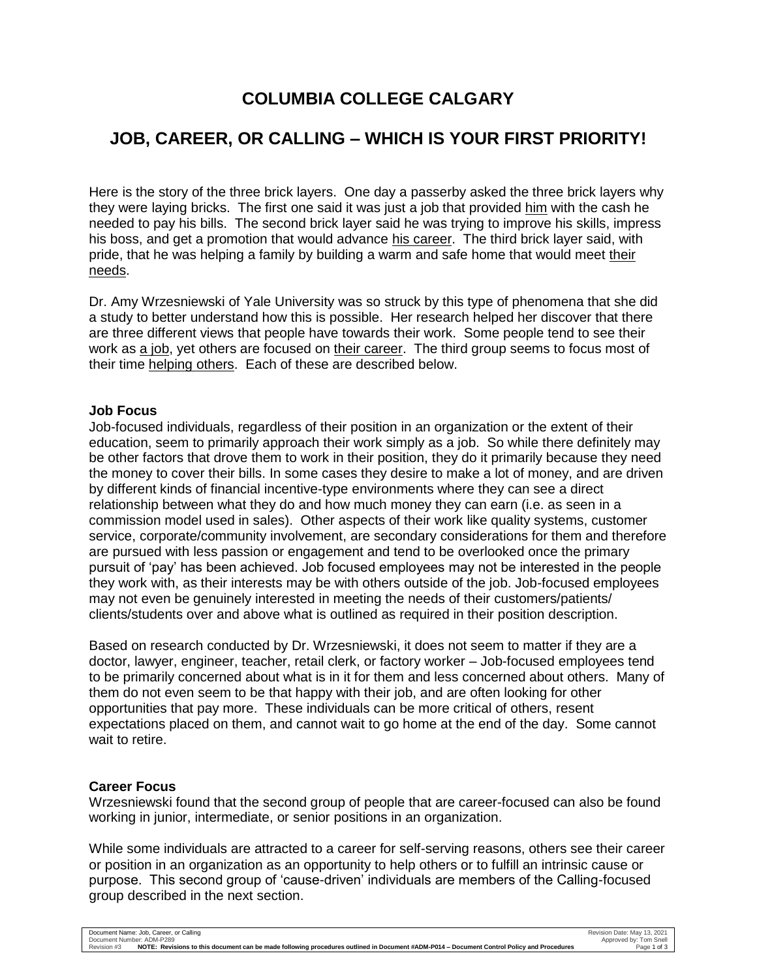# **COLUMBIA COLLEGE CALGARY**

# **JOB, CAREER, OR CALLING – WHICH IS YOUR FIRST PRIORITY!**

Here is the story of the three brick layers. One day a passerby asked the three brick layers why they were laying bricks. The first one said it was just a job that provided him with the cash he needed to pay his bills. The second brick layer said he was trying to improve his skills, impress his boss, and get a promotion that would advance his career. The third brick layer said, with pride, that he was helping a family by building a warm and safe home that would meet their needs.

Dr. Amy Wrzesniewski of Yale University was so struck by this type of phenomena that she did a study to better understand how this is possible. Her research helped her discover that there are three different views that people have towards their work. Some people tend to see their work as a job, yet others are focused on their career. The third group seems to focus most of their time helping others. Each of these are described below.

### **Job Focus**

Job-focused individuals, regardless of their position in an organization or the extent of their education, seem to primarily approach their work simply as a job. So while there definitely may be other factors that drove them to work in their position, they do it primarily because they need the money to cover their bills. In some cases they desire to make a lot of money, and are driven by different kinds of financial incentive-type environments where they can see a direct relationship between what they do and how much money they can earn (i.e. as seen in a commission model used in sales). Other aspects of their work like quality systems, customer service, corporate/community involvement, are secondary considerations for them and therefore are pursued with less passion or engagement and tend to be overlooked once the primary pursuit of 'pay' has been achieved. Job focused employees may not be interested in the people they work with, as their interests may be with others outside of the job. Job-focused employees may not even be genuinely interested in meeting the needs of their customers/patients/ clients/students over and above what is outlined as required in their position description.

Based on research conducted by Dr. Wrzesniewski, it does not seem to matter if they are a doctor, lawyer, engineer, teacher, retail clerk, or factory worker – Job-focused employees tend to be primarily concerned about what is in it for them and less concerned about others. Many of them do not even seem to be that happy with their job, and are often looking for other opportunities that pay more. These individuals can be more critical of others, resent expectations placed on them, and cannot wait to go home at the end of the day. Some cannot wait to retire.

## **Career Focus**

Wrzesniewski found that the second group of people that are career-focused can also be found working in junior, intermediate, or senior positions in an organization.

While some individuals are attracted to a career for self-serving reasons, others see their career or position in an organization as an opportunity to help others or to fulfill an intrinsic cause or purpose. This second group of 'cause-driven' individuals are members of the Calling-focused group described in the next section.

| Document Name: Job, Career, or Calling                                                                                                                   | Revision Date: May 13, 2021 |
|----------------------------------------------------------------------------------------------------------------------------------------------------------|-----------------------------|
| Document Number: ADM-P289                                                                                                                                | Approved by: Tom Snell      |
| NOTE: Revisions to this document can be made following procedures outlined in Document #ADM-P014 – Document Control Policy and Procedures<br>Revision #3 | Page 1 of 3                 |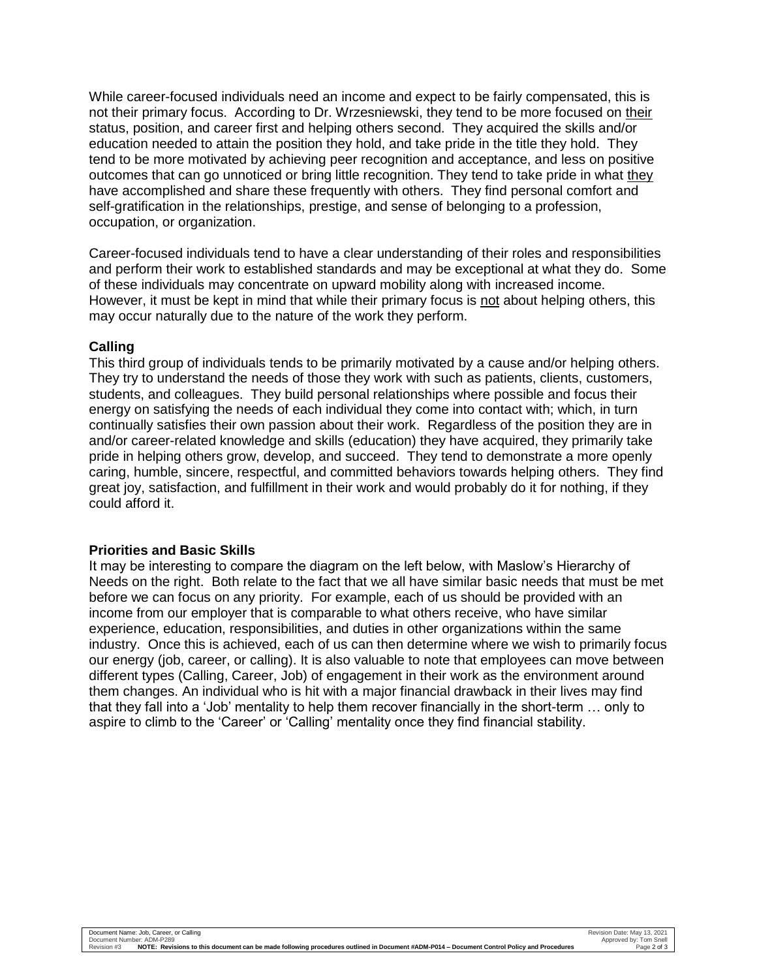While career-focused individuals need an income and expect to be fairly compensated, this is not their primary focus. According to Dr. Wrzesniewski, they tend to be more focused on their status, position, and career first and helping others second. They acquired the skills and/or education needed to attain the position they hold, and take pride in the title they hold. They tend to be more motivated by achieving peer recognition and acceptance, and less on positive outcomes that can go unnoticed or bring little recognition. They tend to take pride in what they have accomplished and share these frequently with others. They find personal comfort and self-gratification in the relationships, prestige, and sense of belonging to a profession, occupation, or organization.

Career-focused individuals tend to have a clear understanding of their roles and responsibilities and perform their work to established standards and may be exceptional at what they do. Some of these individuals may concentrate on upward mobility along with increased income. However, it must be kept in mind that while their primary focus is not about helping others, this may occur naturally due to the nature of the work they perform.

### **Calling**

This third group of individuals tends to be primarily motivated by a cause and/or helping others. They try to understand the needs of those they work with such as patients, clients, customers, students, and colleagues. They build personal relationships where possible and focus their energy on satisfying the needs of each individual they come into contact with; which, in turn continually satisfies their own passion about their work. Regardless of the position they are in and/or career-related knowledge and skills (education) they have acquired, they primarily take pride in helping others grow, develop, and succeed. They tend to demonstrate a more openly caring, humble, sincere, respectful, and committed behaviors towards helping others. They find great joy, satisfaction, and fulfillment in their work and would probably do it for nothing, if they could afford it.

#### **Priorities and Basic Skills**

It may be interesting to compare the diagram on the left below, with Maslow's Hierarchy of Needs on the right. Both relate to the fact that we all have similar basic needs that must be met before we can focus on any priority. For example, each of us should be provided with an income from our employer that is comparable to what others receive, who have similar experience, education, responsibilities, and duties in other organizations within the same industry. Once this is achieved, each of us can then determine where we wish to primarily focus our energy (job, career, or calling). It is also valuable to note that employees can move between different types (Calling, Career, Job) of engagement in their work as the environment around them changes. An individual who is hit with a major financial drawback in their lives may find that they fall into a 'Job' mentality to help them recover financially in the short-term … only to aspire to climb to the 'Career' or 'Calling' mentality once they find financial stability.